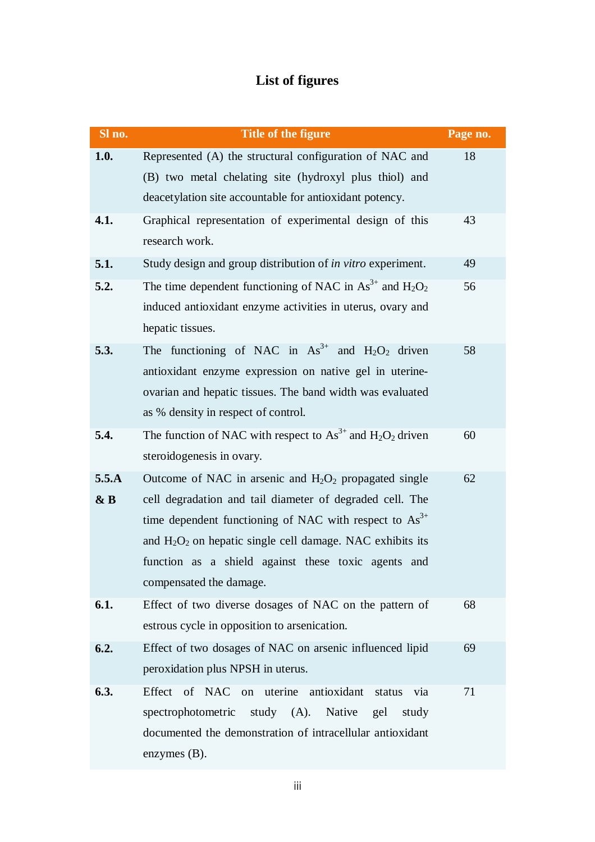## **List of figures**

| Sl no. | Title of the figure                                               | Page no. |
|--------|-------------------------------------------------------------------|----------|
| 1.0.   | Represented (A) the structural configuration of NAC and           | 18       |
|        | (B) two metal chelating site (hydroxyl plus thiol) and            |          |
|        | deacetylation site accountable for antioxidant potency.           |          |
| 4.1.   | Graphical representation of experimental design of this           | 43       |
|        | research work.                                                    |          |
| 5.1.   | Study design and group distribution of in vitro experiment.       | 49       |
| 5.2.   | The time dependent functioning of NAC in $As^{3+}$ and $H_2O_2$   | 56       |
|        | induced antioxidant enzyme activities in uterus, ovary and        |          |
|        | hepatic tissues.                                                  |          |
| 5.3.   | The functioning of NAC in $As^{3+}$ and $H_2O_2$ driven           | 58       |
|        | antioxidant enzyme expression on native gel in uterine-           |          |
|        | ovarian and hepatic tissues. The band width was evaluated         |          |
|        | as % density in respect of control.                               |          |
| 5.4.   | The function of NAC with respect to $As^{3+}$ and $H_2O_2$ driven | 60       |
|        | steroidogenesis in ovary.                                         |          |
| 5.5.A  | Outcome of NAC in arsenic and $H_2O_2$ propagated single          | 62       |
| & B    | cell degradation and tail diameter of degraded cell. The          |          |
|        | time dependent functioning of NAC with respect to $As3+$          |          |
|        | and $H_2O_2$ on hepatic single cell damage. NAC exhibits its      |          |
|        | function as a shield against these toxic agents and               |          |
|        | compensated the damage.                                           |          |
| 6.1.   | Effect of two diverse dosages of NAC on the pattern of            | 68       |
|        | estrous cycle in opposition to arsenication.                      |          |
| 6.2.   | Effect of two dosages of NAC on arsenic influenced lipid          | 69       |
|        | peroxidation plus NPSH in uterus.                                 |          |
| 6.3.   | Effect of NAC on uterine antioxidant<br>via<br>status             | 71       |
|        | study $(A)$ .<br>Native<br>spectrophotometric<br>gel<br>study     |          |
|        | documented the demonstration of intracellular antioxidant         |          |
|        | enzymes $(B)$ .                                                   |          |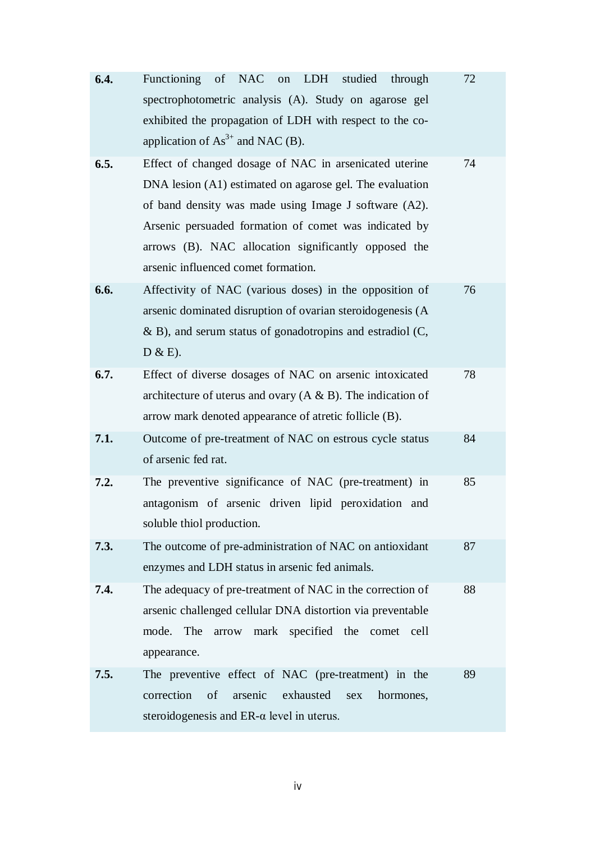| 6.4. | <b>NAC</b><br><b>Functioning</b><br>of<br><b>LDH</b><br>studied<br>on<br>through<br>spectrophotometric analysis (A). Study on agarose gel<br>exhibited the propagation of LDH with respect to the co-<br>application of $As^{3+}$ and NAC (B).                                                                                      | 72 |
|------|-------------------------------------------------------------------------------------------------------------------------------------------------------------------------------------------------------------------------------------------------------------------------------------------------------------------------------------|----|
| 6.5. | Effect of changed dosage of NAC in arsenicated uterine<br>DNA lesion (A1) estimated on agarose gel. The evaluation<br>of band density was made using Image J software (A2).<br>Arsenic persuaded formation of comet was indicated by<br>arrows (B). NAC allocation significantly opposed the<br>arsenic influenced comet formation. | 74 |
| 6.6. | Affectivity of NAC (various doses) in the opposition of<br>arsenic dominated disruption of ovarian steroidogenesis (A<br>$\&$ B), and serum status of gonadotropins and estradiol (C,<br>$D & E$ ).                                                                                                                                 | 76 |
| 6.7. | Effect of diverse dosages of NAC on arsenic intoxicated<br>architecture of uterus and ovary $(A \& B)$ . The indication of<br>arrow mark denoted appearance of atretic follicle (B).                                                                                                                                                | 78 |
| 7.1. | Outcome of pre-treatment of NAC on estrous cycle status<br>of arsenic fed rat.                                                                                                                                                                                                                                                      | 84 |
| 7.2. | The preventive significance of NAC (pre-treatment) in<br>antagonism of arsenic driven lipid peroxidation and<br>soluble thiol production.                                                                                                                                                                                           | 85 |
| 7.3. | The outcome of pre-administration of NAC on antioxidant<br>enzymes and LDH status in arsenic fed animals.                                                                                                                                                                                                                           | 87 |
| 7.4. | The adequacy of pre-treatment of NAC in the correction of<br>arsenic challenged cellular DNA distortion via preventable<br>specified the comet<br>mode.<br>The<br>mark<br>arrow<br>cell<br>appearance.                                                                                                                              | 88 |
| 7.5. | The preventive effect of NAC (pre-treatment) in the<br>correction<br>of<br>arsenic<br>exhausted<br>sex<br>hormones,<br>steroidogenesis and $ER-\alpha$ level in uterus.                                                                                                                                                             | 89 |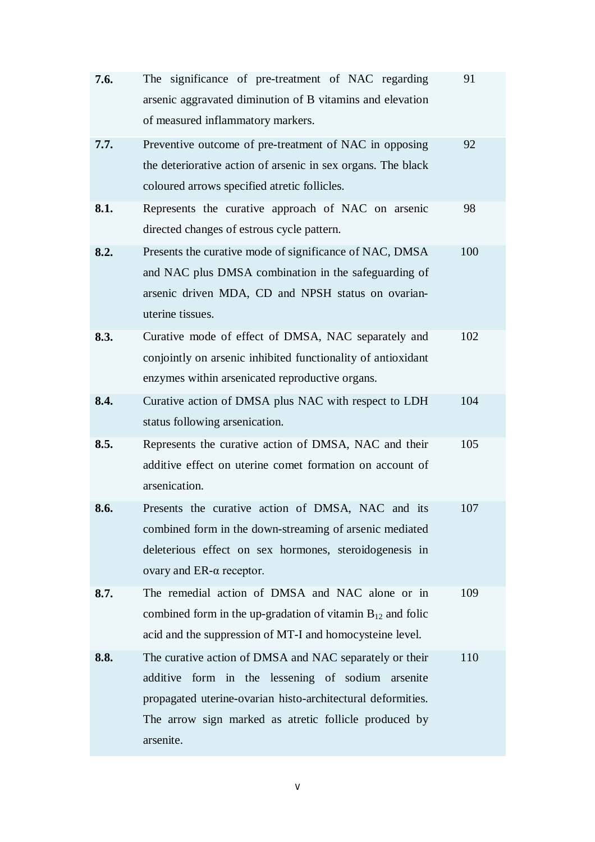| 7.6. | The significance of pre-treatment of NAC regarding<br>arsenic aggravated diminution of B vitamins and elevation<br>of measured inflammatory markers.                                                                                                 | 91  |
|------|------------------------------------------------------------------------------------------------------------------------------------------------------------------------------------------------------------------------------------------------------|-----|
| 7.7. | Preventive outcome of pre-treatment of NAC in opposing<br>the deteriorative action of arsenic in sex organs. The black<br>coloured arrows specified atretic follicles.                                                                               | 92  |
| 8.1. | Represents the curative approach of NAC on arsenic<br>directed changes of estrous cycle pattern.                                                                                                                                                     | 98  |
| 8.2. | Presents the curative mode of significance of NAC, DMSA<br>and NAC plus DMSA combination in the safeguarding of<br>arsenic driven MDA, CD and NPSH status on ovarian-<br>uterine tissues.                                                            | 100 |
| 8.3. | Curative mode of effect of DMSA, NAC separately and<br>conjointly on arsenic inhibited functionality of antioxidant<br>enzymes within arsenicated reproductive organs.                                                                               | 102 |
| 8.4. | Curative action of DMSA plus NAC with respect to LDH<br>status following arsenication.                                                                                                                                                               | 104 |
| 8.5. | Represents the curative action of DMSA, NAC and their<br>additive effect on uterine comet formation on account of<br>arsenication.                                                                                                                   | 105 |
| 8.6. | Presents the curative action of DMSA, NAC and its<br>combined form in the down-streaming of arsenic mediated<br>deleterious effect on sex hormones, steroidogenesis in<br>ovary and $ER-\alpha$ receptor.                                            | 107 |
| 8.7. | The remedial action of DMSA and NAC alone or in<br>combined form in the up-gradation of vitamin $B_{12}$ and folic<br>acid and the suppression of MT-I and homocysteine level.                                                                       | 109 |
| 8.8. | The curative action of DMSA and NAC separately or their<br>additive<br>form in the lessening of sodium arsenite<br>propagated uterine-ovarian histo-architectural deformities.<br>The arrow sign marked as atretic follicle produced by<br>arsenite. | 110 |